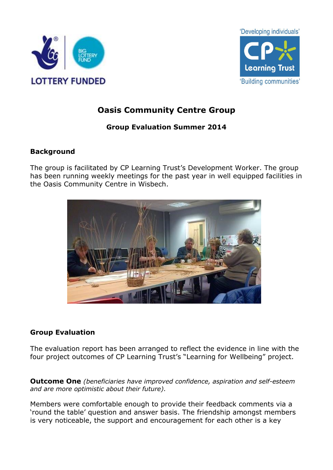



# **Oasis Community Centre Group**

## **Group Evaluation Summer 2014**

### **Background**

The group is facilitated by CP Learning Trust's Development Worker. The group has been running weekly meetings for the past year in well equipped facilities in the Oasis Community Centre in Wisbech.



### **Group Evaluation**

The evaluation report has been arranged to reflect the evidence in line with the four project outcomes of CP Learning Trust's "Learning for Wellbeing" project.

**Outcome One** *(beneficiaries have improved confidence, aspiration and self-esteem and are more optimistic about their future).*

Members were comfortable enough to provide their feedback comments via a 'round the table' question and answer basis. The friendship amongst members is very noticeable, the support and encouragement for each other is a key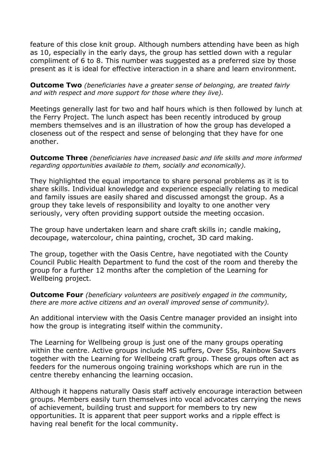feature of this close knit group. Although numbers attending have been as high as 10, especially in the early days, the group has settled down with a regular compliment of 6 to 8. This number was suggested as a preferred size by those present as it is ideal for effective interaction in a share and learn environment.

**Outcome Two** *(beneficiaries have a greater sense of belonging, are treated fairly and with respect and more support for those where they live).*

Meetings generally last for two and half hours which is then followed by lunch at the Ferry Project. The lunch aspect has been recently introduced by group members themselves and is an illustration of how the group has developed a closeness out of the respect and sense of belonging that they have for one another.

**Outcome Three** *(beneficiaries have increased basic and life skills and more informed regarding opportunities available to them, socially and economically).*

They highlighted the equal importance to share personal problems as it is to share skills. Individual knowledge and experience especially relating to medical and family issues are easily shared and discussed amongst the group. As a group they take levels of responsibility and loyalty to one another very seriously, very often providing support outside the meeting occasion.

The group have undertaken learn and share craft skills in; candle making, decoupage, watercolour, china painting, crochet, 3D card making.

The group, together with the Oasis Centre, have negotiated with the County Council Public Health Department to fund the cost of the room and thereby the group for a further 12 months after the completion of the Learning for Wellbeing project.

**Outcome Four** *(beneficiary volunteers are positively engaged in the community, there are more active citizens and an overall improved sense of community).*

An additional interview with the Oasis Centre manager provided an insight into how the group is integrating itself within the community.

The Learning for Wellbeing group is just one of the many groups operating within the centre. Active groups include MS suffers, Over 55s, Rainbow Savers together with the Learning for Wellbeing craft group. These groups often act as feeders for the numerous ongoing training workshops which are run in the centre thereby enhancing the learning occasion.

Although it happens naturally Oasis staff actively encourage interaction between groups. Members easily turn themselves into vocal advocates carrying the news of achievement, building trust and support for members to try new opportunities. It is apparent that peer support works and a ripple effect is having real benefit for the local community.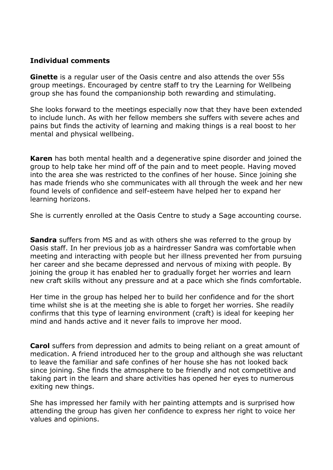#### **Individual comments**

**Ginette** is a regular user of the Oasis centre and also attends the over 55s group meetings. Encouraged by centre staff to try the Learning for Wellbeing group she has found the companionship both rewarding and stimulating.

She looks forward to the meetings especially now that they have been extended to include lunch. As with her fellow members she suffers with severe aches and pains but finds the activity of learning and making things is a real boost to her mental and physical wellbeing.

**Karen** has both mental health and a degenerative spine disorder and joined the group to help take her mind off of the pain and to meet people. Having moved into the area she was restricted to the confines of her house. Since joining she has made friends who she communicates with all through the week and her new found levels of confidence and self-esteem have helped her to expand her learning horizons.

She is currently enrolled at the Oasis Centre to study a Sage accounting course.

**Sandra** suffers from MS and as with others she was referred to the group by Oasis staff. In her previous job as a hairdresser Sandra was comfortable when meeting and interacting with people but her illness prevented her from pursuing her career and she became depressed and nervous of mixing with people. By joining the group it has enabled her to gradually forget her worries and learn new craft skills without any pressure and at a pace which she finds comfortable.

Her time in the group has helped her to build her confidence and for the short time whilst she is at the meeting she is able to forget her worries. She readily confirms that this type of learning environment (craft) is ideal for keeping her mind and hands active and it never fails to improve her mood.

**Carol** suffers from depression and admits to being reliant on a great amount of medication. A friend introduced her to the group and although she was reluctant to leave the familiar and safe confines of her house she has not looked back since joining. She finds the atmosphere to be friendly and not competitive and taking part in the learn and share activities has opened her eyes to numerous exiting new things.

She has impressed her family with her painting attempts and is surprised how attending the group has given her confidence to express her right to voice her values and opinions.